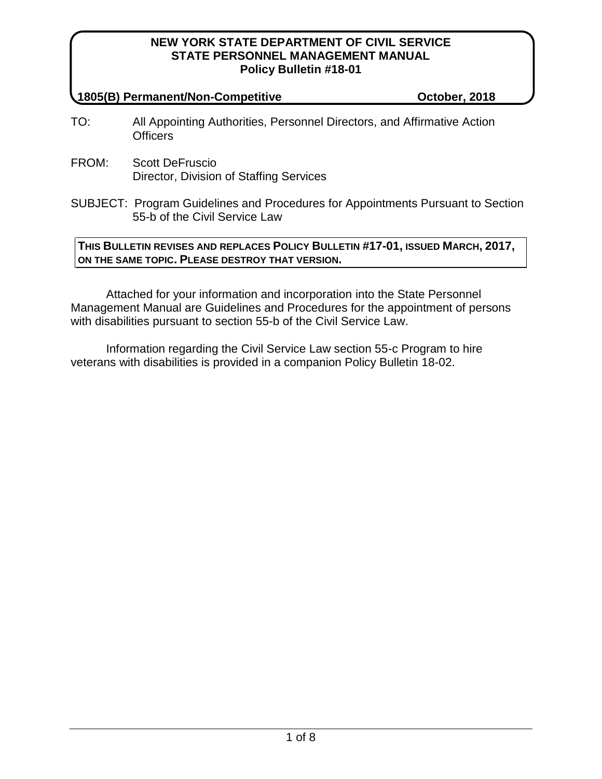#### **1805(B) Permanent/Non-Competitive October, 2018**

- TO: All Appointing Authorities, Personnel Directors, and Affirmative Action **Officers**
- FROM: Scott DeFruscio Director, Division of Staffing Services
- SUBJECT: Program Guidelines and Procedures for Appointments Pursuant to Section 55-b of the Civil Service Law

## **THIS BULLETIN REVISES AND REPLACES POLICY BULLETIN #17-01, ISSUED MARCH, 2017, ON THE SAME TOPIC. PLEASE DESTROY THAT VERSION.**

Attached for your information and incorporation into the State Personnel Management Manual are Guidelines and Procedures for the appointment of persons with disabilities pursuant to section 55-b of the Civil Service Law.

Information regarding the Civil Service Law section 55-c Program to hire veterans with disabilities is provided in a companion Policy Bulletin 18-02.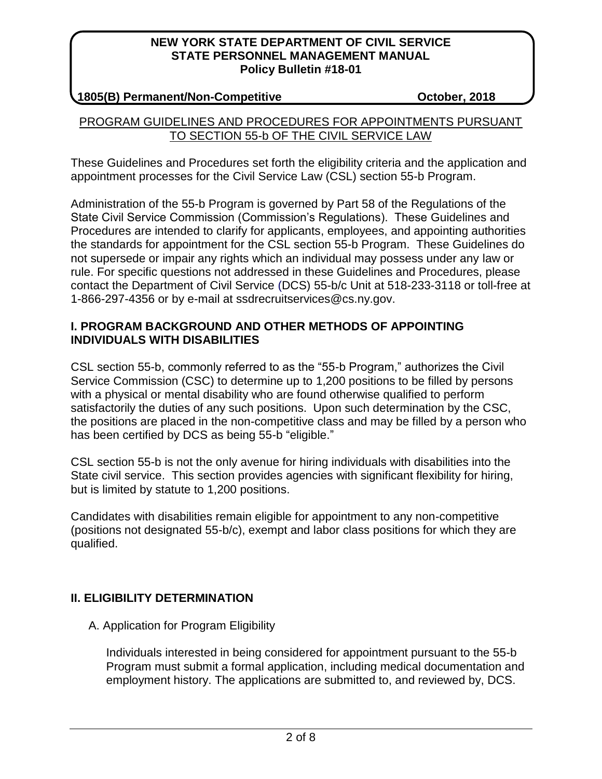## **1805(B) Permanent/Non-Competitive October, 2018**

## PROGRAM GUIDELINES AND PROCEDURES FOR APPOINTMENTS PURSUANT TO SECTION 55-b OF THE CIVIL SERVICE LAW

These Guidelines and Procedures set forth the eligibility criteria and the application and appointment processes for the Civil Service Law (CSL) section 55-b Program.

Administration of the 55-b Program is governed by Part 58 of the Regulations of the State Civil Service Commission (Commission's Regulations). These Guidelines and Procedures are intended to clarify for applicants, employees, and appointing authorities the standards for appointment for the CSL section 55-b Program. These Guidelines do not supersede or impair any rights which an individual may possess under any law or rule. For specific questions not addressed in these Guidelines and Procedures, please contact the Department of Civil Service (DCS) 55-b/c Unit at 518-233-3118 or toll-free at 1-866-297-4356 or by e-mail at ssdrecruitservices@cs.ny.gov.

## **I. PROGRAM BACKGROUND AND OTHER METHODS OF APPOINTING INDIVIDUALS WITH DISABILITIES**

CSL section 55-b, commonly referred to as the "55-b Program," authorizes the Civil Service Commission (CSC) to determine up to 1,200 positions to be filled by persons with a physical or mental disability who are found otherwise qualified to perform satisfactorily the duties of any such positions. Upon such determination by the CSC, the positions are placed in the non-competitive class and may be filled by a person who has been certified by DCS as being 55-b "eligible."

CSL section 55-b is not the only avenue for hiring individuals with disabilities into the State civil service. This section provides agencies with significant flexibility for hiring, but is limited by statute to 1,200 positions.

Candidates with disabilities remain eligible for appointment to any non-competitive (positions not designated 55-b/c), exempt and labor class positions for which they are qualified.

# **II. ELIGIBILITY DETERMINATION**

A. Application for Program Eligibility

Individuals interested in being considered for appointment pursuant to the 55-b Program must submit a formal application, including medical documentation and employment history. The applications are submitted to, and reviewed by, DCS.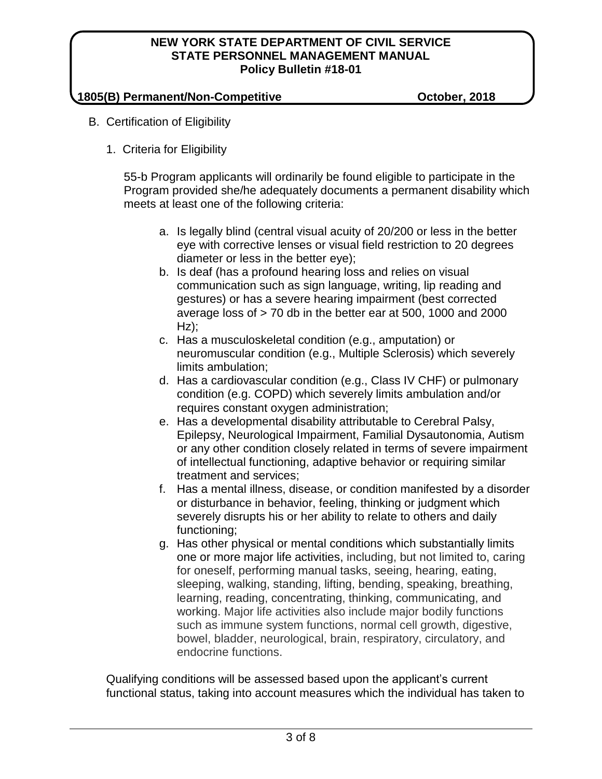## **1805(B) Permanent/Non-Competitive October, 2018**

- B. Certification of Eligibility
	- 1. Criteria for Eligibility

55-b Program applicants will ordinarily be found eligible to participate in the Program provided she/he adequately documents a permanent disability which meets at least one of the following criteria:

- a. Is legally blind (central visual acuity of 20/200 or less in the better eye with corrective lenses or visual field restriction to 20 degrees diameter or less in the better eye);
- b. Is deaf (has a profound hearing loss and relies on visual communication such as sign language, writing, lip reading and gestures) or has a severe hearing impairment (best corrected average loss of > 70 db in the better ear at 500, 1000 and 2000  $Hz$ ):
- c. Has a musculoskeletal condition (e.g., amputation) or neuromuscular condition (e.g., Multiple Sclerosis) which severely limits ambulation;
- d. Has a cardiovascular condition (e.g., Class IV CHF) or pulmonary condition (e.g. COPD) which severely limits ambulation and/or requires constant oxygen administration;
- e. Has a developmental disability attributable to Cerebral Palsy, Epilepsy, Neurological Impairment, Familial Dysautonomia, Autism or any other condition closely related in terms of severe impairment of intellectual functioning, adaptive behavior or requiring similar treatment and services;
- f. Has a mental illness, disease, or condition manifested by a disorder or disturbance in behavior, feeling, thinking or judgment which severely disrupts his or her ability to relate to others and daily functioning;
- g. Has other physical or mental conditions which substantially limits one or more major life activities, including, but not limited to, caring for oneself, performing manual tasks, seeing, hearing, eating, sleeping, walking, standing, lifting, bending, speaking, breathing, learning, reading, concentrating, thinking, communicating, and working. Major life activities also include major bodily functions such as immune system functions, normal cell growth, digestive, bowel, bladder, neurological, brain, respiratory, circulatory, and endocrine functions.

Qualifying conditions will be assessed based upon the applicant's current functional status, taking into account measures which the individual has taken to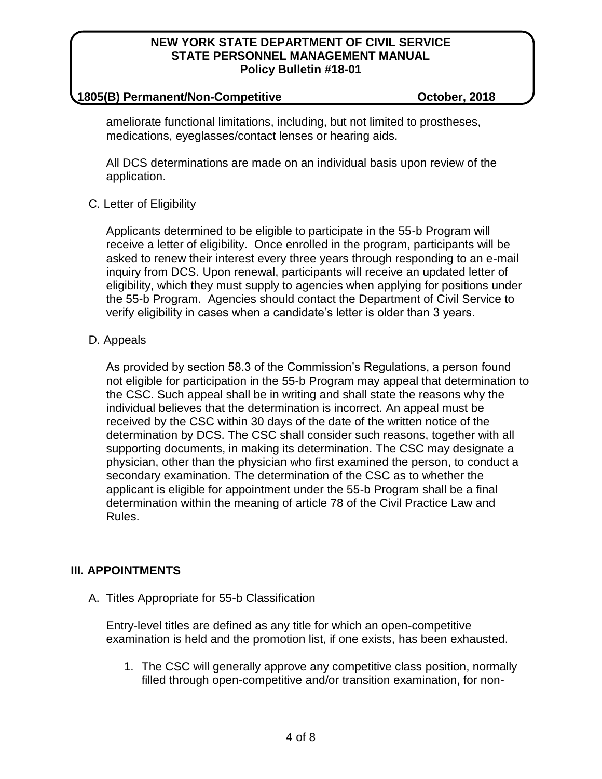### **1805(B) Permanent/Non-Competitive October, 2018**

ameliorate functional limitations, including, but not limited to prostheses, medications, eyeglasses/contact lenses or hearing aids.

All DCS determinations are made on an individual basis upon review of the application.

## C. Letter of Eligibility

Applicants determined to be eligible to participate in the 55-b Program will receive a letter of eligibility. Once enrolled in the program, participants will be asked to renew their interest every three years through responding to an e-mail inquiry from DCS. Upon renewal, participants will receive an updated letter of eligibility, which they must supply to agencies when applying for positions under the 55-b Program. Agencies should contact the Department of Civil Service to verify eligibility in cases when a candidate's letter is older than 3 years.

## D. Appeals

As provided by section 58.3 of the Commission's Regulations, a person found not eligible for participation in the 55-b Program may appeal that determination to the CSC. Such appeal shall be in writing and shall state the reasons why the individual believes that the determination is incorrect. An appeal must be received by the CSC within 30 days of the date of the written notice of the determination by DCS. The CSC shall consider such reasons, together with all supporting documents, in making its determination. The CSC may designate a physician, other than the physician who first examined the person, to conduct a secondary examination. The determination of the CSC as to whether the applicant is eligible for appointment under the 55-b Program shall be a final determination within the meaning of article 78 of the Civil Practice Law and Rules.

## **III. APPOINTMENTS**

A. Titles Appropriate for 55-b Classification

Entry-level titles are defined as any title for which an open-competitive examination is held and the promotion list, if one exists, has been exhausted.

1. The CSC will generally approve any competitive class position, normally filled through open-competitive and/or transition examination, for non-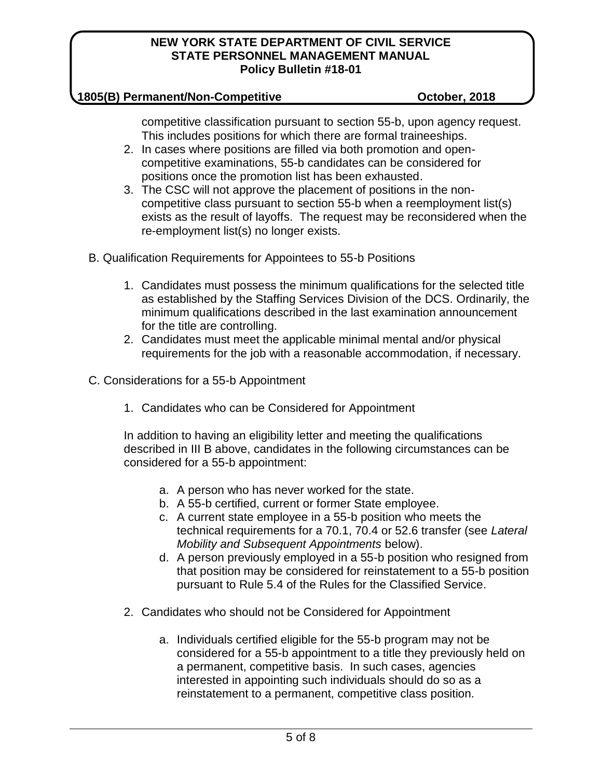## **1805(B) Permanent/Non-Competitive October, 2018**

competitive classification pursuant to section 55-b, upon agency request. This includes positions for which there are formal traineeships.

- 2. In cases where positions are filled via both promotion and opencompetitive examinations, 55-b candidates can be considered for positions once the promotion list has been exhausted.
- 3. The CSC will not approve the placement of positions in the noncompetitive class pursuant to section 55-b when a reemployment list(s) exists as the result of layoffs. The request may be reconsidered when the re-employment list(s) no longer exists.

B. Qualification Requirements for Appointees to 55-b Positions

- 1. Candidates must possess the minimum qualifications for the selected title as established by the Staffing Services Division of the DCS. Ordinarily, the minimum qualifications described in the last examination announcement for the title are controlling.
- 2. Candidates must meet the applicable minimal mental and/or physical requirements for the job with a reasonable accommodation, if necessary.
- C. Considerations for a 55-b Appointment
	- 1. Candidates who can be Considered for Appointment

In addition to having an eligibility letter and meeting the qualifications described in III B above, candidates in the following circumstances can be considered for a 55-b appointment:

- a. A person who has never worked for the state.
- b. A 55-b certified, current or former State employee.
- c. A current state employee in a 55-b position who meets the technical requirements for a 70.1, 70.4 or 52.6 transfer (see *Lateral Mobility and Subsequent Appointments* below).
- d. A person previously employed in a 55-b position who resigned from that position may be considered for reinstatement to a 55-b position pursuant to Rule 5.4 of the Rules for the Classified Service.
- 2. Candidates who should not be Considered for Appointment
	- a. Individuals certified eligible for the 55-b program may not be considered for a 55-b appointment to a title they previously held on a permanent, competitive basis. In such cases, agencies interested in appointing such individuals should do so as a reinstatement to a permanent, competitive class position.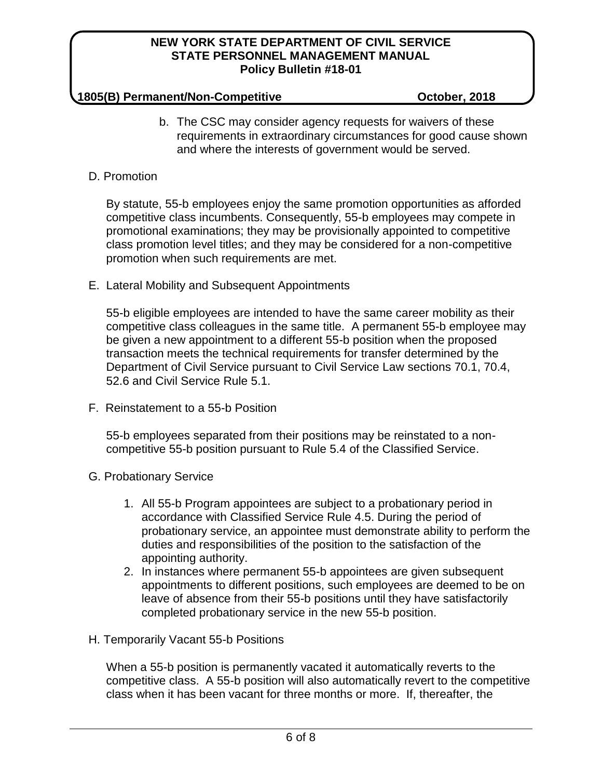## **1805(B) Permanent/Non-Competitive October, 2018**

b. The CSC may consider agency requests for waivers of these requirements in extraordinary circumstances for good cause shown and where the interests of government would be served.

## D. Promotion

By statute, 55-b employees enjoy the same promotion opportunities as afforded competitive class incumbents. Consequently, 55-b employees may compete in promotional examinations; they may be provisionally appointed to competitive class promotion level titles; and they may be considered for a non-competitive promotion when such requirements are met.

E. Lateral Mobility and Subsequent Appointments

55-b eligible employees are intended to have the same career mobility as their competitive class colleagues in the same title. A permanent 55-b employee may be given a new appointment to a different 55-b position when the proposed transaction meets the technical requirements for transfer determined by the Department of Civil Service pursuant to Civil Service Law sections 70.1, 70.4, 52.6 and Civil Service Rule 5.1.

F. Reinstatement to a 55-b Position

55-b employees separated from their positions may be reinstated to a noncompetitive 55-b position pursuant to Rule 5.4 of the Classified Service.

- G. Probationary Service
	- 1. All 55-b Program appointees are subject to a probationary period in accordance with Classified Service Rule 4.5. During the period of probationary service, an appointee must demonstrate ability to perform the duties and responsibilities of the position to the satisfaction of the appointing authority.
	- 2. In instances where permanent 55-b appointees are given subsequent appointments to different positions, such employees are deemed to be on leave of absence from their 55-b positions until they have satisfactorily completed probationary service in the new 55-b position.
- H. Temporarily Vacant 55-b Positions

When a 55-b position is permanently vacated it automatically reverts to the competitive class. A 55-b position will also automatically revert to the competitive class when it has been vacant for three months or more. If, thereafter, the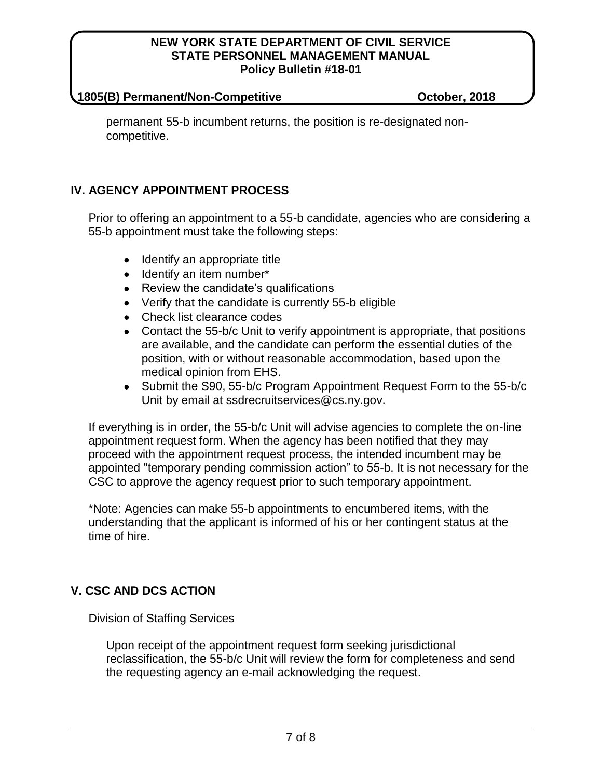#### **1805(B) Permanent/Non-Competitive October, 2018**

permanent 55-b incumbent returns, the position is re-designated noncompetitive.

# **IV. AGENCY APPOINTMENT PROCESS**

Prior to offering an appointment to a 55-b candidate, agencies who are considering a 55-b appointment must take the following steps:

- Identify an appropriate title
- Identify an item number\*
- Review the candidate's qualifications
- Verify that the candidate is currently 55-b eligible
- Check list clearance codes
- Contact the 55-b/c Unit to verify appointment is appropriate, that positions are available, and the candidate can perform the essential duties of the position, with or without reasonable accommodation, based upon the medical opinion from EHS.
- Submit the S90, 55-b/c Program Appointment Request Form to the 55-b/c Unit by email at ssdrecruitservices@cs.ny.gov.

If everything is in order, the 55-b/c Unit will advise agencies to complete the on-line appointment request form. When the agency has been notified that they may proceed with the appointment request process, the intended incumbent may be appointed "temporary pending commission action" to 55-b. It is not necessary for the CSC to approve the agency request prior to such temporary appointment.

\*Note: Agencies can make 55-b appointments to encumbered items, with the understanding that the applicant is informed of his or her contingent status at the time of hire.

# **V. CSC AND DCS ACTION**

Division of Staffing Services

Upon receipt of the appointment request form seeking jurisdictional reclassification, the 55-b/c Unit will review the form for completeness and send the requesting agency an e-mail acknowledging the request.